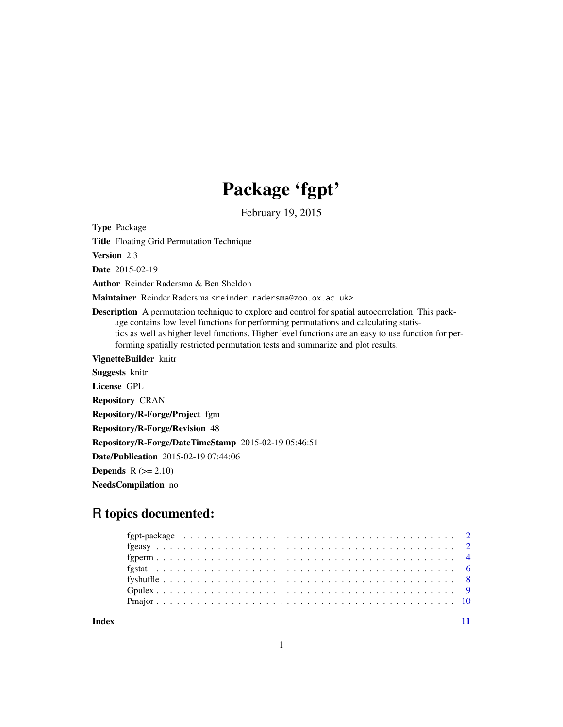# Package 'fgpt'

February 19, 2015

<span id="page-0-0"></span>Type Package

Title Floating Grid Permutation Technique

Version 2.3

Date 2015-02-19

Author Reinder Radersma & Ben Sheldon

Maintainer Reinder Radersma <reinder.radersma@zoo.ox.ac.uk>

Description A permutation technique to explore and control for spatial autocorrelation. This package contains low level functions for performing permutations and calculating statistics as well as higher level functions. Higher level functions are an easy to use function for performing spatially restricted permutation tests and summarize and plot results.

VignetteBuilder knitr

Suggests knitr License GPL

Repository CRAN

Repository/R-Forge/Project fgm

Repository/R-Forge/Revision 48

Repository/R-Forge/DateTimeStamp 2015-02-19 05:46:51

Date/Publication 2015-02-19 07:44:06

**Depends**  $R$  ( $>= 2.10$ )

NeedsCompilation no

# R topics documented:

**Index** [11](#page-10-0)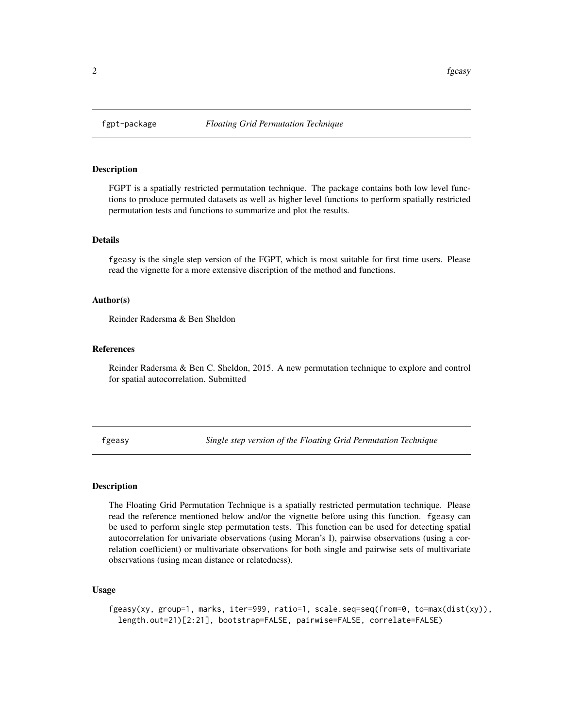<span id="page-1-0"></span>

#### Description

FGPT is a spatially restricted permutation technique. The package contains both low level functions to produce permuted datasets as well as higher level functions to perform spatially restricted permutation tests and functions to summarize and plot the results.

#### Details

fgeasy is the single step version of the FGPT, which is most suitable for first time users. Please read the vignette for a more extensive discription of the method and functions.

#### Author(s)

Reinder Radersma & Ben Sheldon

#### References

Reinder Radersma & Ben C. Sheldon, 2015. A new permutation technique to explore and control for spatial autocorrelation. Submitted

fgeasy *Single step version of the Floating Grid Permutation Technique*

#### Description

The Floating Grid Permutation Technique is a spatially restricted permutation technique. Please read the reference mentioned below and/or the vignette before using this function. fgeasy can be used to perform single step permutation tests. This function can be used for detecting spatial autocorrelation for univariate observations (using Moran's I), pairwise observations (using a correlation coefficient) or multivariate observations for both single and pairwise sets of multivariate observations (using mean distance or relatedness).

# Usage

fgeasy(xy, group=1, marks, iter=999, ratio=1, scale.seq=seq(from=0, to=max(dist(xy)), length.out=21)[2:21], bootstrap=FALSE, pairwise=FALSE, correlate=FALSE)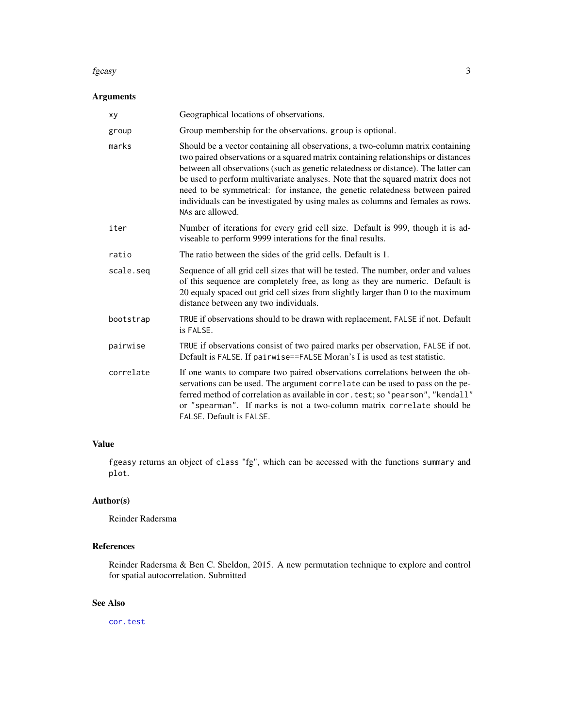#### <span id="page-2-0"></span>fgeasy 3

# Arguments

| xy        | Geographical locations of observations.                                                                                                                                                                                                                                                                                                                                                                                                                                                                                            |
|-----------|------------------------------------------------------------------------------------------------------------------------------------------------------------------------------------------------------------------------------------------------------------------------------------------------------------------------------------------------------------------------------------------------------------------------------------------------------------------------------------------------------------------------------------|
| group     | Group membership for the observations. group is optional.                                                                                                                                                                                                                                                                                                                                                                                                                                                                          |
| marks     | Should be a vector containing all observations, a two-column matrix containing<br>two paired observations or a squared matrix containing relationships or distances<br>between all observations (such as genetic relatedness or distance). The latter can<br>be used to perform multivariate analyses. Note that the squared matrix does not<br>need to be symmetrical: for instance, the genetic relatedness between paired<br>individuals can be investigated by using males as columns and females as rows.<br>NAs are allowed. |
| iter      | Number of iterations for every grid cell size. Default is 999, though it is ad-<br>viseable to perform 9999 interations for the final results.                                                                                                                                                                                                                                                                                                                                                                                     |
| ratio     | The ratio between the sides of the grid cells. Default is 1.                                                                                                                                                                                                                                                                                                                                                                                                                                                                       |
| scale.seg | Sequence of all grid cell sizes that will be tested. The number, order and values<br>of this sequence are completely free, as long as they are numeric. Default is<br>20 equaly spaced out grid cell sizes from slightly larger than 0 to the maximum<br>distance between any two individuals.                                                                                                                                                                                                                                     |
| bootstrap | TRUE if observations should to be drawn with replacement, FALSE if not. Default<br>is FALSE.                                                                                                                                                                                                                                                                                                                                                                                                                                       |
| pairwise  | TRUE if observations consist of two paired marks per observation, FALSE if not.<br>Default is FALSE. If pairwise==FALSE Moran's I is used as test statistic.                                                                                                                                                                                                                                                                                                                                                                       |
| correlate | If one wants to compare two paired observations correlations between the ob-<br>servations can be used. The argument correlate can be used to pass on the pe-<br>ferred method of correlation as available in cor. test; so "pearson", "kendall"<br>or "spearman". If marks is not a two-column matrix correlate should be<br>FALSE. Default is FALSE.                                                                                                                                                                             |

# Value

fgeasy returns an object of class "fg", which can be accessed with the functions summary and plot.

# Author(s)

Reinder Radersma

# References

Reinder Radersma & Ben C. Sheldon, 2015. A new permutation technique to explore and control for spatial autocorrelation. Submitted

# See Also

[cor.test](#page-0-0)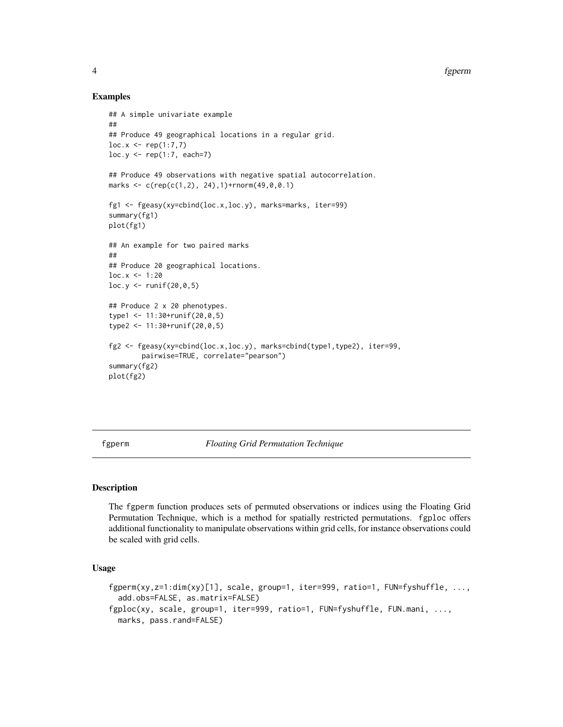#### Examples

```
## A simple univariate example
##
## Produce 49 geographical locations in a regular grid.
loc.x \leq rep(1:7,7)loc.y \leftarrow rep(1:7, each=7)## Produce 49 observations with negative spatial autocorrelation.
marks <- c(rep(c(1,2), 24),1)+rnorm(49,0,0.1)
fg1 <- fgeasy(xy=cbind(loc.x,loc.y), marks=marks, iter=99)
summary(fg1)
plot(fg1)
## An example for two paired marks
##
## Produce 20 geographical locations.
loc.x < -1:20loc.y \leftarrow runif(20,0,5)## Produce 2 x 20 phenotypes.
type1 <- 11:30+runif(20,0,5)
type2 <- 11:30+runif(20,0,5)
fg2 <- fgeasy(xy=cbind(loc.x,loc.y), marks=cbind(type1,type2), iter=99,
        pairwise=TRUE, correlate="pearson")
summary(fg2)
plot(fg2)
```
fgperm *Floating Grid Permutation Technique*

#### Description

The fgperm function produces sets of permuted observations or indices using the Floating Grid Permutation Technique, which is a method for spatially restricted permutations. fgploc offers additional functionality to manipulate observations within grid cells, for instance observations could be scaled with grid cells.

#### Usage

```
fgperm(xy,z=1:dim(xy)[1], scale, group=1, iter=999, ratio=1, FUN=fyshuffle, ...,
  add.obs=FALSE, as.matrix=FALSE)
fgploc(xy, scale, group=1, iter=999, ratio=1, FUN=fyshuffle, FUN.mani, ...,
 marks, pass.rand=FALSE)
```
<span id="page-3-0"></span>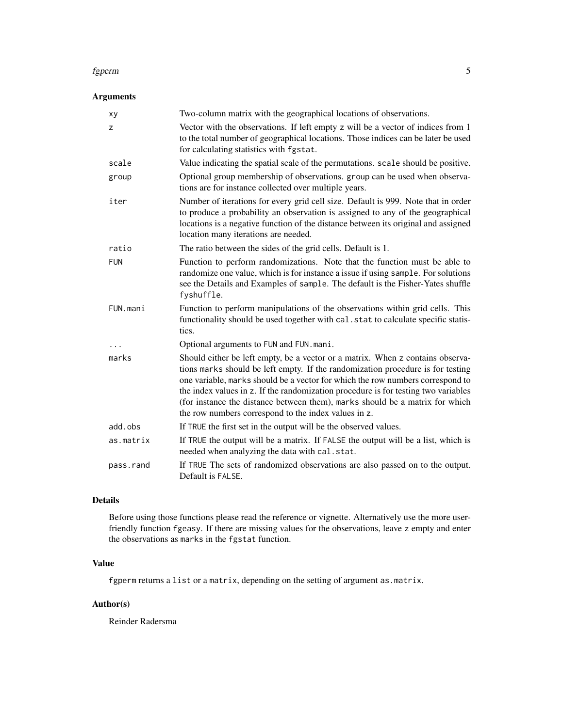#### fgperm 55 to 55 to 55 to 55 to 55 to 55 to 55 to 55 to 55 to 55 to 55 to 55 to 55 to 55 to 55 to 55 to 55 to 55 to 55 to 55 to 55 to 55 to 55 to 55 to 55 to 55 to 55 to 55 to 55 to 55 to 55 to 55 to 55 to 55 to 55 to 55 to

# Arguments

| xy         | Two-column matrix with the geographical locations of observations.                                                                                                                                                                                                                                                                                                                                                                                                                |
|------------|-----------------------------------------------------------------------------------------------------------------------------------------------------------------------------------------------------------------------------------------------------------------------------------------------------------------------------------------------------------------------------------------------------------------------------------------------------------------------------------|
| z          | Vector with the observations. If left empty z will be a vector of indices from 1<br>to the total number of geographical locations. Those indices can be later be used<br>for calculating statistics with fgstat.                                                                                                                                                                                                                                                                  |
| scale      | Value indicating the spatial scale of the permutations. scale should be positive.                                                                                                                                                                                                                                                                                                                                                                                                 |
| group      | Optional group membership of observations. group can be used when observa-<br>tions are for instance collected over multiple years.                                                                                                                                                                                                                                                                                                                                               |
| iter       | Number of iterations for every grid cell size. Default is 999. Note that in order<br>to produce a probability an observation is assigned to any of the geographical<br>locations is a negative function of the distance between its original and assigned<br>location many iterations are needed.                                                                                                                                                                                 |
| ratio      | The ratio between the sides of the grid cells. Default is 1.                                                                                                                                                                                                                                                                                                                                                                                                                      |
| <b>FUN</b> | Function to perform randomizations. Note that the function must be able to<br>randomize one value, which is for instance a issue if using sample. For solutions<br>see the Details and Examples of sample. The default is the Fisher-Yates shuffle<br>fyshuffle.                                                                                                                                                                                                                  |
| FUN.mani   | Function to perform manipulations of the observations within grid cells. This<br>functionality should be used together with cal. stat to calculate specific statis-<br>tics.                                                                                                                                                                                                                                                                                                      |
|            | Optional arguments to FUN and FUN. mani.                                                                                                                                                                                                                                                                                                                                                                                                                                          |
| marks      | Should either be left empty, be a vector or a matrix. When z contains observa-<br>tions marks should be left empty. If the randomization procedure is for testing<br>one variable, marks should be a vector for which the row numbers correspond to<br>the index values in z. If the randomization procedure is for testing two variables<br>(for instance the distance between them), marks should be a matrix for which<br>the row numbers correspond to the index values in z. |
| add.obs    | If TRUE the first set in the output will be the observed values.                                                                                                                                                                                                                                                                                                                                                                                                                  |
| as.matrix  | If TRUE the output will be a matrix. If FALSE the output will be a list, which is<br>needed when analyzing the data with cal.stat.                                                                                                                                                                                                                                                                                                                                                |
| pass.rand  | If TRUE The sets of randomized observations are also passed on to the output.<br>Default is FALSE.                                                                                                                                                                                                                                                                                                                                                                                |

# Details

Before using those functions please read the reference or vignette. Alternatively use the more userfriendly function fgeasy. If there are missing values for the observations, leave z empty and enter the observations as marks in the fgstat function.

# Value

fgperm returns a list or a matrix, depending on the setting of argument as.matrix.

# Author(s)

Reinder Radersma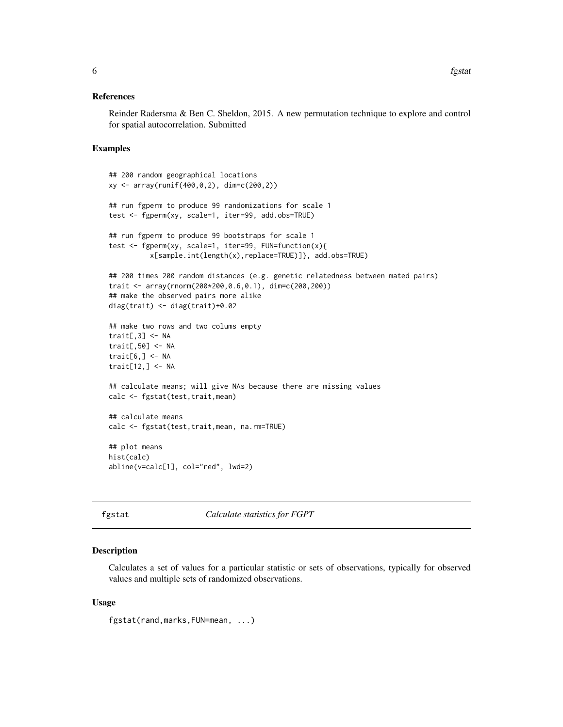#### <span id="page-5-0"></span>References

Reinder Radersma & Ben C. Sheldon, 2015. A new permutation technique to explore and control for spatial autocorrelation. Submitted

#### Examples

```
## 200 random geographical locations
xy <- array(runif(400,0,2), dim=c(200,2))
## run fgperm to produce 99 randomizations for scale 1
test <- fgperm(xy, scale=1, iter=99, add.obs=TRUE)
## run fgperm to produce 99 bootstraps for scale 1
test <- fgperm(xy, scale=1, iter=99, FUN=function(x){
          x[sample.int(length(x),replace=TRUE)]}, add.obs=TRUE)
## 200 times 200 random distances (e.g. genetic relatedness between mated pairs)
trait <- array(rnorm(200*200,0.6,0.1), dim=c(200,200))
## make the observed pairs more alike
diag(trait) <- diag(trait)+0.02
## make two rows and two colums empty
trait[,3] \leq- NA
trait[,50] <- NA
trait[6, ] \leftarrow \mathsf{NA}trait[12,] <- NA
## calculate means; will give NAs because there are missing values
calc <- fgstat(test,trait,mean)
## calculate means
calc <- fgstat(test,trait,mean, na.rm=TRUE)
## plot means
hist(calc)
abline(v=calc[1], col="red", lwd=2)
```
fgstat *Calculate statistics for FGPT*

#### Description

Calculates a set of values for a particular statistic or sets of observations, typically for observed values and multiple sets of randomized observations.

#### Usage

```
fgstat(rand,marks,FUN=mean, ...)
```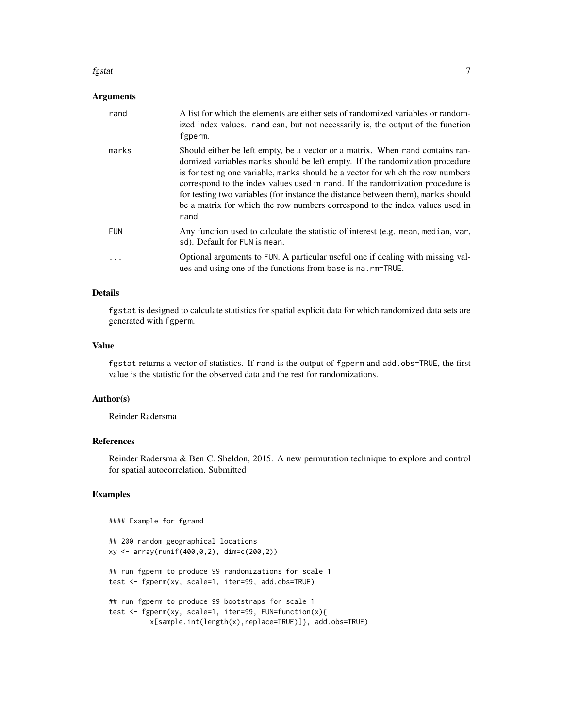#### fgstat *7*

#### Arguments

| rand       | A list for which the elements are either sets of randomized variables or random-<br>ized index values. rand can, but not necessarily is, the output of the function<br>fgperm.                                                                                                                                                                                                                                                                                                                                  |
|------------|-----------------------------------------------------------------------------------------------------------------------------------------------------------------------------------------------------------------------------------------------------------------------------------------------------------------------------------------------------------------------------------------------------------------------------------------------------------------------------------------------------------------|
| marks      | Should either be left empty, be a vector or a matrix. When rand contains ran-<br>domized variables marks should be left empty. If the randomization procedure<br>is for testing one variable, marks should be a vector for which the row numbers<br>correspond to the index values used in rand. If the randomization procedure is<br>for testing two variables (for instance the distance between them), marks should<br>be a matrix for which the row numbers correspond to the index values used in<br>rand. |
| <b>FUN</b> | Any function used to calculate the statistic of interest (e.g. mean, median, var,<br>sd). Default for FUN is mean.                                                                                                                                                                                                                                                                                                                                                                                              |
| $\ddotsc$  | Optional arguments to FUN. A particular useful one if dealing with missing val-<br>ues and using one of the functions from base is na. rm=TRUE.                                                                                                                                                                                                                                                                                                                                                                 |

### Details

fgstat is designed to calculate statistics for spatial explicit data for which randomized data sets are generated with fgperm.

#### Value

fgstat returns a vector of statistics. If rand is the output of fgperm and add.obs=TRUE, the first value is the statistic for the observed data and the rest for randomizations.

#### Author(s)

Reinder Radersma

#### Example for fgrand

#### References

Reinder Radersma & Ben C. Sheldon, 2015. A new permutation technique to explore and control for spatial autocorrelation. Submitted

# Examples

```
## 200 random geographical locations
xy <- array(runif(400,0,2), dim=c(200,2))
## run fgperm to produce 99 randomizations for scale 1
test <- fgperm(xy, scale=1, iter=99, add.obs=TRUE)
## run fgperm to produce 99 bootstraps for scale 1
test <- fgperm(xy, scale=1, iter=99, FUN=function(x){
         x[sample.int(length(x),replace=TRUE)]}, add.obs=TRUE)
```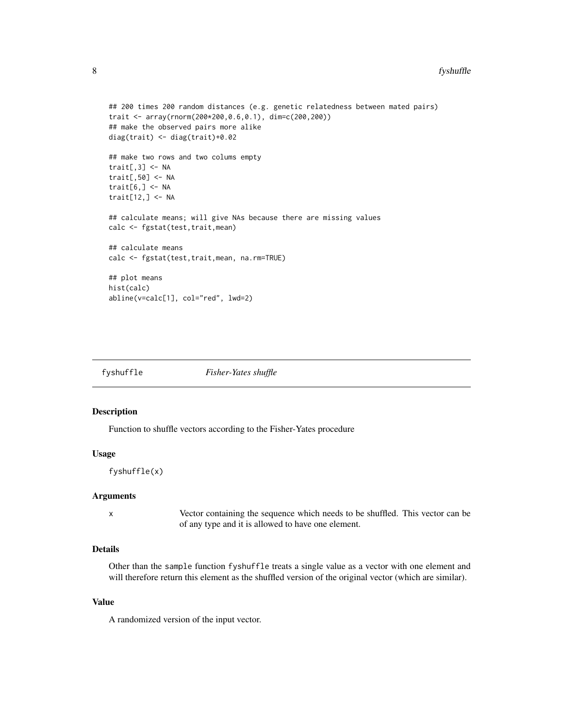#### <span id="page-7-0"></span>8 fyshuffle

```
## 200 times 200 random distances (e.g. genetic relatedness between mated pairs)
trait <- array(rnorm(200*200,0.6,0.1), dim=c(200,200))
## make the observed pairs more alike
diag(trait) <- diag(trait)+0.02
## make two rows and two colums empty
trait[,3] < -NAtrait[,50] <- NA
trait[6, ] \leftarrow NAtrait[12,] <- NA
## calculate means; will give NAs because there are missing values
calc <- fgstat(test, trait, mean)
## calculate means
calc <- fgstat(test,trait,mean, na.rm=TRUE)
## plot means
hist(calc)
abline(v=calc[1], col="red", lwd=2)
```
fyshuffle *Fisher-Yates shuffle*

#### Description

Function to shuffle vectors according to the Fisher-Yates procedure

#### Usage

```
fyshuffle(x)
```
#### Arguments

x Vector containing the sequence which needs to be shuffled. This vector can be of any type and it is allowed to have one element.

# Details

Other than the sample function fyshuffle treats a single value as a vector with one element and will therefore return this element as the shuffled version of the original vector (which are similar).

#### Value

A randomized version of the input vector.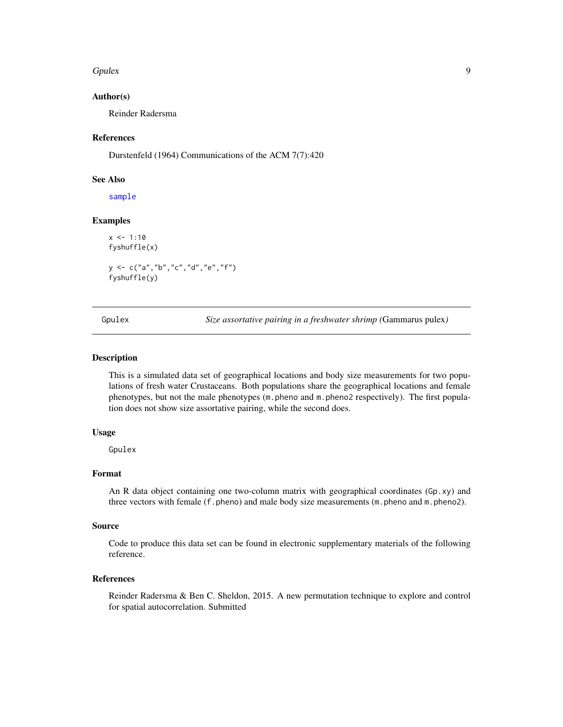#### <span id="page-8-0"></span>Gpulex **9**

#### Author(s)

Reinder Radersma

#### References

Durstenfeld (1964) Communications of the ACM 7(7):420

#### See Also

[sample](#page-0-0)

### Examples

 $x < -1:10$ fyshuffle(x) y <- c("a","b","c","d","e","f") fyshuffle(y)

Gpulex *Size assortative pairing in a freshwater shrimp (*Gammarus pulex*)*

#### Description

This is a simulated data set of geographical locations and body size measurements for two populations of fresh water Crustaceans. Both populations share the geographical locations and female phenotypes, but not the male phenotypes (m.pheno and m.pheno2 respectively). The first population does not show size assortative pairing, while the second does.

#### Usage

Gpulex

# Format

An R data object containing one two-column matrix with geographical coordinates (Gp.xy) and three vectors with female (f.pheno) and male body size measurements (m.pheno and m.pheno2).

#### Source

Code to produce this data set can be found in electronic supplementary materials of the following reference.

#### References

Reinder Radersma & Ben C. Sheldon, 2015. A new permutation technique to explore and control for spatial autocorrelation. Submitted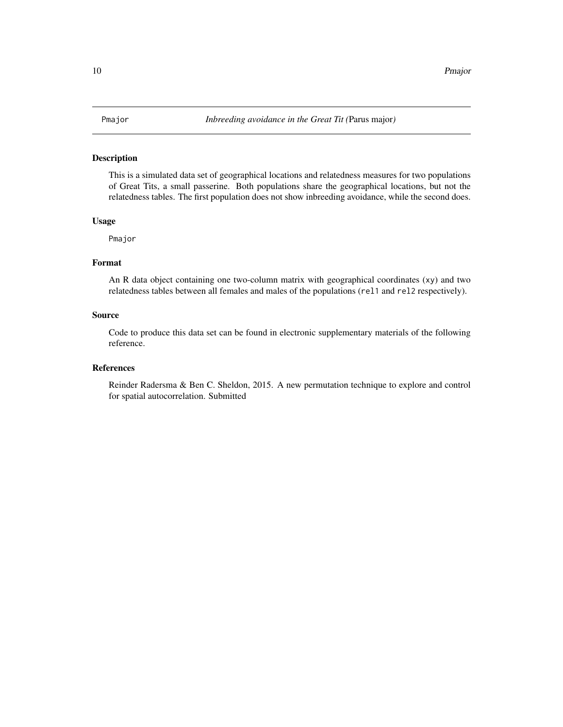# <span id="page-9-0"></span>Description

This is a simulated data set of geographical locations and relatedness measures for two populations of Great Tits, a small passerine. Both populations share the geographical locations, but not the relatedness tables. The first population does not show inbreeding avoidance, while the second does.

#### Usage

Pmajor

# Format

An R data object containing one two-column matrix with geographical coordinates (xy) and two relatedness tables between all females and males of the populations (rel1 and rel2 respectively).

#### Source

Code to produce this data set can be found in electronic supplementary materials of the following reference.

### References

Reinder Radersma & Ben C. Sheldon, 2015. A new permutation technique to explore and control for spatial autocorrelation. Submitted